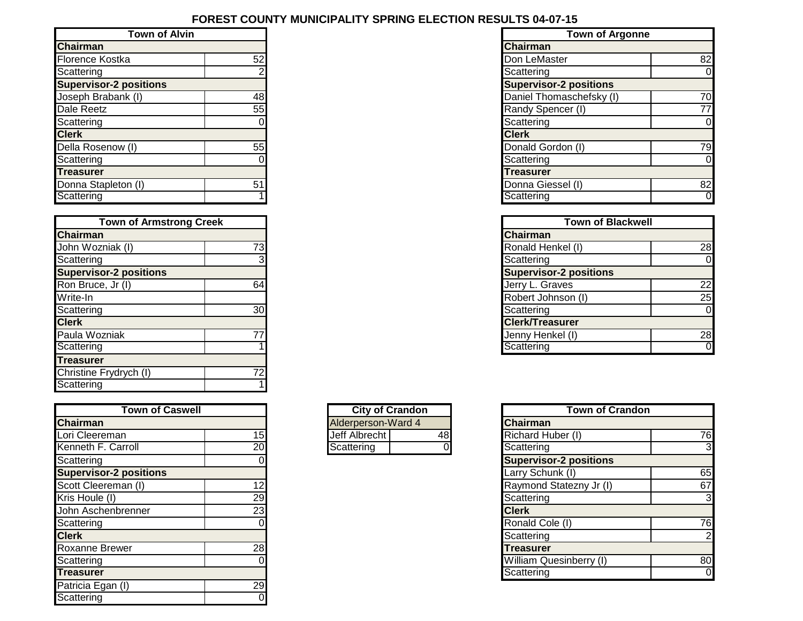## **FOREST COUNTY MUNICIPALITY SPRING ELECTION RESULTS 04-07-15**

| <b>Town of Alvin</b>          |    |  |  |  |
|-------------------------------|----|--|--|--|
| <b>Chairman</b>               |    |  |  |  |
| <b>Florence Kostka</b>        | 52 |  |  |  |
| Scattering                    | ź  |  |  |  |
| <b>Supervisor-2 positions</b> |    |  |  |  |
| Joseph Brabank (I)            | 48 |  |  |  |
| Dale Reetz                    | 55 |  |  |  |
| Scattering                    |    |  |  |  |
| <b>Clerk</b>                  |    |  |  |  |
| Della Rosenow (I)             | 55 |  |  |  |
| Scattering                    |    |  |  |  |
| <b>Treasurer</b>              |    |  |  |  |
| Donna Stapleton (I)           |    |  |  |  |
| Scattering                    |    |  |  |  |

|                               | <b>Town of Armstrong Creek</b> |  |  |  |  |
|-------------------------------|--------------------------------|--|--|--|--|
| <b>Chairman</b>               |                                |  |  |  |  |
| John Wozniak (I)              | 73                             |  |  |  |  |
| Scattering                    | 3                              |  |  |  |  |
| <b>Supervisor-2 positions</b> |                                |  |  |  |  |
| Ron Bruce, Jr (I)             | 64                             |  |  |  |  |
| Write-In                      |                                |  |  |  |  |
| Scattering                    | 30                             |  |  |  |  |
| <b>Clerk</b>                  |                                |  |  |  |  |
| Paula Wozniak                 | 77                             |  |  |  |  |
| Scattering                    |                                |  |  |  |  |
| <b>Treasurer</b>              |                                |  |  |  |  |
| Christine Frydrych (I)        | 72                             |  |  |  |  |
| Scattering                    |                                |  |  |  |  |

| <b>Town of Caswell</b>        |    |
|-------------------------------|----|
| <b>Chairman</b>               |    |
| Lori Cleereman                | 15 |
| Kenneth F. Carroll            | 20 |
| Scattering                    |    |
| <b>Supervisor-2 positions</b> |    |
| Scott Cleereman (I)           | 12 |
| Kris Houle (I)                | 29 |
| John Aschenbrenner            | 23 |
| Scattering                    |    |
| <b>Clerk</b>                  |    |
| <b>Roxanne Brewer</b>         | 28 |
| Scattering                    |    |
| <b>Treasurer</b>              |    |
| Patricia Egan (I)             | 29 |
| Scattering                    |    |

| <b>City of Crandon</b> |  |  |  |  |
|------------------------|--|--|--|--|
| Alderperson-Ward 4     |  |  |  |  |
| Jeff Albrecht<br>Æ۶    |  |  |  |  |
| Scattering             |  |  |  |  |

| <b>Town of Alvin</b>          |    | <b>Town of Argonne</b>        |                |
|-------------------------------|----|-------------------------------|----------------|
| <b>Chairman</b>               |    | <b>Chairman</b>               |                |
| Florence Kostka               | 52 | Don LeMaster                  | 82             |
| Scattering                    |    | Scattering                    |                |
| <b>Supervisor-2 positions</b> |    | <b>Supervisor-2 positions</b> |                |
| Joseph Brabank (I)            | 48 | Daniel Thomaschefsky (I)      | 70             |
| Dale Reetz                    | 55 | Randy Spencer (I)             | 77             |
| Scattering                    |    | Scattering                    | 0              |
| <b>Clerk</b>                  |    | <b>Clerk</b>                  |                |
| Della Rosenow (I)             | 55 | Donald Gordon (I)             | 79             |
| Scattering                    |    | Scattering                    |                |
| Treasurer                     |    | Treasurer                     |                |
| Donna Stapleton (I)           | 51 | Donna Giessel (I)             | 82             |
| Scattering                    |    | Scattering                    | $\overline{0}$ |

| <b>Town of Armstrong Creek</b> |                 | <b>Town of Blackwell</b>      |              |
|--------------------------------|-----------------|-------------------------------|--------------|
| Chairman                       |                 | <b>Chairman</b>               |              |
| John Wozniak (I)               | 73 <sub>1</sub> | Ronald Henkel (I)             | 28           |
| Scattering                     |                 | Scattering                    | <sub>0</sub> |
| <b>Supervisor-2 positions</b>  |                 | <b>Supervisor-2 positions</b> |              |
| Ron Bruce, Jr (I)              | 64              | Jerry L. Graves               | 22           |
| Write-In                       |                 | Robert Johnson (I)            | 25           |
| Scattering                     | 30              | Scattering                    | 0            |
| <b>Clerk</b>                   |                 | <b>Clerk/Treasurer</b>        |              |
| Paula Wozniak                  | 77              | Jenny Henkel (I)              | 28           |
| Scattering                     |                 | Scattering                    | 0            |

| <b>Town of Caswell</b>        |    | <b>City of Crandon</b> | <b>Town of Crandon</b>        |                |
|-------------------------------|----|------------------------|-------------------------------|----------------|
| Chairman                      |    | Alderperson-Ward 4     | <b>Chairman</b>               |                |
| Lori Cleereman                | 15 | Jeff Albrecht<br>48    | Richard Huber (I)             | 76             |
| Kenneth F. Carroll            | 20 | Scattering             | Scattering                    | 3 <sub>l</sub> |
| Scattering                    |    |                        | <b>Supervisor-2 positions</b> |                |
| <b>Supervisor-2 positions</b> |    |                        | Larry Schunk (I)              | 65             |
| Scott Cleereman (I)           | 2  |                        | Raymond Statezny Jr (I)       | 67             |
| Kris Houle (I)                | 29 |                        | Scattering                    | 3 <sub>l</sub> |
| John Aschenbrenner            | 23 |                        | <b>Clerk</b>                  |                |
| Scattering                    |    |                        | Ronald Cole (I)               | 76             |
| <b>Clerk</b>                  |    |                        | Scattering                    | 2 <sub>l</sub> |
| Roxanne Brewer                | 28 |                        | <b>Treasurer</b>              |                |
| Scattering                    |    |                        | William Quesinberry (I)       | 80             |
| <b>Treasurer</b>              |    |                        | Scattering                    | $\overline{0}$ |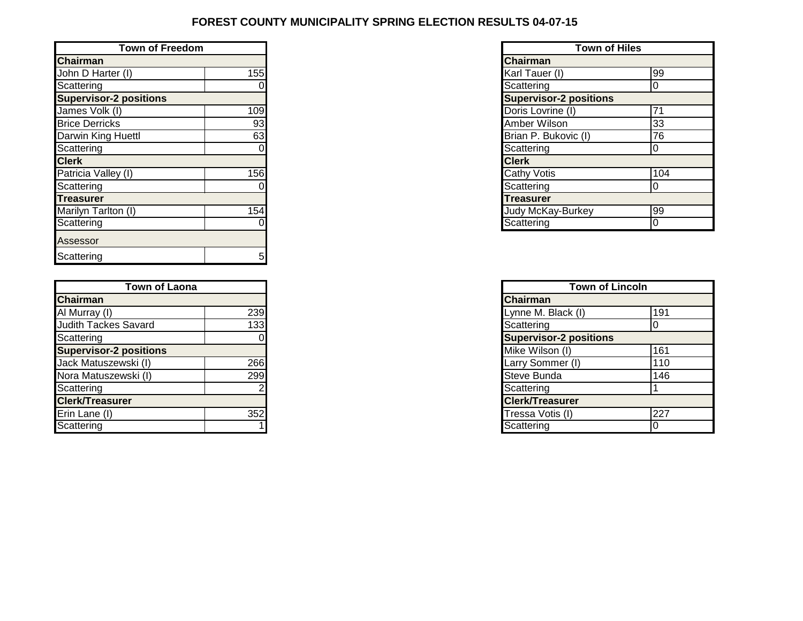## **FOREST COUNTY MUNICIPALITY SPRING ELECTION RESULTS 04-07-15**

| <b>Town of Freedom</b>        |     | <b>Town of Hiles</b>          |  |
|-------------------------------|-----|-------------------------------|--|
| <b>Chairman</b>               |     | <b>Chairman</b>               |  |
| John D Harter (I)             | 155 | Karl Tauer (I)                |  |
| Scattering                    |     | Scattering                    |  |
| <b>Supervisor-2 positions</b> |     | <b>Supervisor-2 positions</b> |  |
| James Volk (I)                | 109 | Doris Lovrine (I)             |  |
| <b>Brice Derricks</b>         | 93  | Amber Wilson                  |  |
| Darwin King Huettl            | 63  | Brian P. Bukovic (I)          |  |
| Scattering                    |     | Scattering                    |  |
| <b>Clerk</b>                  |     | <b>Clerk</b>                  |  |
| Patricia Valley (I)           | 156 | <b>Cathy Votis</b>            |  |
| Scattering                    |     | Scattering                    |  |
| <b>Treasurer</b>              |     | <b>Treasurer</b>              |  |
| Marilyn Tarlton (I)           | 154 | <b>Judy McKay-Burkey</b>      |  |
| Scattering                    |     | Scattering                    |  |
| Assessor                      |     |                               |  |
| Scattering                    | 5   |                               |  |

| Town of Laona                 |     | <b>Town of Lincoln</b>        |
|-------------------------------|-----|-------------------------------|
| <b>Chairman</b>               |     | <b>Chairman</b>               |
| Al Murray (I)                 | 239 | Lynne M. Black (I)            |
| <b>Judith Tackes Savard</b>   | 133 | Scattering                    |
| Scattering                    |     | <b>Supervisor-2 positions</b> |
| <b>Supervisor-2 positions</b> |     | Mike Wilson (I)               |
| Jack Matuszewski (I)          | 266 | Larry Sommer (I)              |
| Nora Matuszewski (I)          | 299 | Steve Bunda                   |
| Scattering                    |     | Scattering                    |
| <b>Clerk/Treasurer</b>        |     | <b>Clerk/Treasurer</b>        |
| Erin Lane (I)                 | 352 | Tressa Votis (I)              |
| Scattering                    |     | Scattering                    |

| <b>Town of Hiles</b>          |     |  |  |  |  |
|-------------------------------|-----|--|--|--|--|
| Chairman                      |     |  |  |  |  |
| Karl Tauer (I)                | 99  |  |  |  |  |
| Scattering                    | 0   |  |  |  |  |
| <b>Supervisor-2 positions</b> |     |  |  |  |  |
| Doris Lovrine (I)             | 71  |  |  |  |  |
| Amber Wilson                  | 33  |  |  |  |  |
| Brian P. Bukovic (I)          | 76  |  |  |  |  |
| Scattering                    | 0   |  |  |  |  |
| <b>Clerk</b>                  |     |  |  |  |  |
| <b>Cathy Votis</b>            | 104 |  |  |  |  |
| Scattering                    | U   |  |  |  |  |
| <b>Treasurer</b>              |     |  |  |  |  |
| Judy McKay-Burkey             | 99  |  |  |  |  |
| Scattering                    |     |  |  |  |  |

|                            | <b>Town of Lincoln</b>        |     |
|----------------------------|-------------------------------|-----|
|                            | <b>Chairman</b>               |     |
| 239<br>133                 | Lynne M. Black (I)            | 191 |
|                            | Scattering                    |     |
| $\overline{\mathbf{0}}$    | <b>Supervisor-2 positions</b> |     |
|                            | Mike Wilson (I)               | 161 |
|                            | Larry Sommer (I)              | 110 |
| 266<br>299                 | Steve Bunda                   | 146 |
| $\overline{\phantom{0}}$ 2 | Scattering                    |     |
|                            | <b>Clerk/Treasurer</b>        |     |
| 352                        | Tressa Votis (I)              | 227 |
|                            | Scattering                    |     |